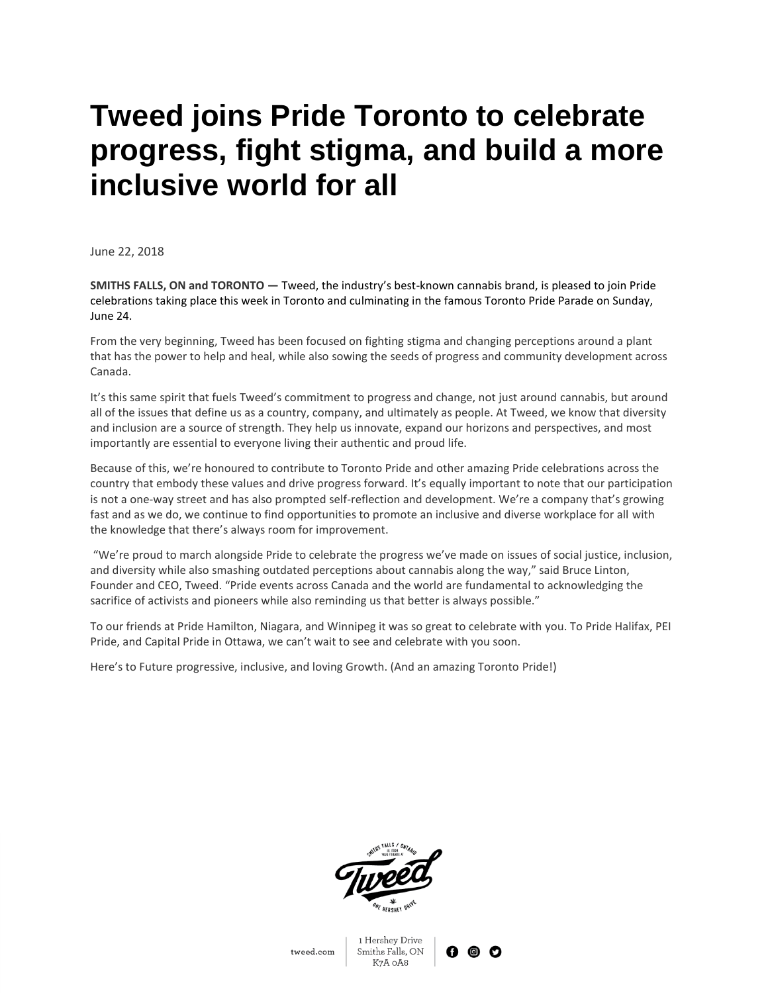## **Tweed joins Pride Toronto to celebrate progress, fight stigma, and build a more inclusive world for all**

June 22, 2018

**SMITHS FALLS, ON and TORONTO —** Tweed, the industry's best-known cannabis brand, is pleased to join Pride celebrations taking place this week in Toronto and culminating in the famous Toronto Pride Parade on Sunday, June 24.

From the very beginning, Tweed has been focused on fighting stigma and changing perceptions around a plant that has the power to help and heal, while also sowing the seeds of progress and community development across Canada.

It's this same spirit that fuels Tweed's commitment to progress and change, not just around cannabis, but around all of the issues that define us as a country, company, and ultimately as people. At Tweed, we know that diversity and inclusion are a source of strength. They help us innovate, expand our horizons and perspectives, and most importantly are essential to everyone living their authentic and proud life.

Because of this, we're honoured to contribute to Toronto Pride and other amazing Pride celebrations across the country that embody these values and drive progress forward. It's equally important to note that our participation is not a one-way street and has also prompted self-reflection and development. We're a company that's growing fast and as we do, we continue to find opportunities to promote an inclusive and diverse workplace for all with the knowledge that there's always room for improvement.

"We're proud to march alongside Pride to celebrate the progress we've made on issues of social justice, inclusion, and diversity while also smashing outdated perceptions about cannabis along the way," said Bruce Linton, Founder and CEO, Tweed. "Pride events across Canada and the world are fundamental to acknowledging the sacrifice of activists and pioneers while also reminding us that better is always possible."

To our friends at Pride Hamilton, Niagara, and Winnipeg it was so great to celebrate with you. To Pride Halifax, PEI Pride, and Capital Pride in Ottawa, we can't wait to see and celebrate with you soon.

Here's to Future progressive, inclusive, and loving Growth. (And an amazing Toronto Pride!)